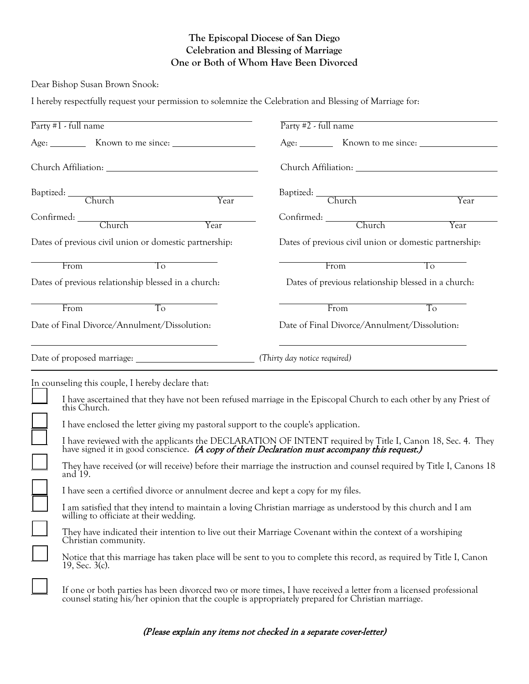## **The Episcopal Diocese of San Diego Celebration and Blessing of Marriage One or Both of Whom Have Been Divorced**

Dear Bishop Susan Brown Snook:

I hereby respectfully request your permission to solemnize the Celebration and Blessing of Marriage for:

| Party $#1$ - full name                                                                            | Party #2 - full name                                                                                                                                                                                    |
|---------------------------------------------------------------------------------------------------|---------------------------------------------------------------------------------------------------------------------------------------------------------------------------------------------------------|
|                                                                                                   |                                                                                                                                                                                                         |
|                                                                                                   |                                                                                                                                                                                                         |
| Baptized: Church Year                                                                             |                                                                                                                                                                                                         |
|                                                                                                   | Year                                                                                                                                                                                                    |
| Year                                                                                              | Confirmed: Church<br>Year                                                                                                                                                                               |
| Dates of previous civil union or domestic partnership:                                            | Dates of previous civil union or domestic partnership:                                                                                                                                                  |
| $\overline{10}$<br>From                                                                           | From<br>T <sub>0</sub>                                                                                                                                                                                  |
| Dates of previous relationship blessed in a church:                                               | Dates of previous relationship blessed in a church:                                                                                                                                                     |
| To<br>From                                                                                        | From<br>T <sub>o</sub>                                                                                                                                                                                  |
| Date of Final Divorce/Annulment/Dissolution:                                                      | Date of Final Divorce/Annulment/Dissolution:                                                                                                                                                            |
|                                                                                                   |                                                                                                                                                                                                         |
| In counseling this couple, I hereby declare that:<br>this Church.                                 | I have ascertained that they have not been refused marriage in the Episcopal Church to each other by any Priest of                                                                                      |
| I have enclosed the letter giving my pastoral support to the couple's application.                |                                                                                                                                                                                                         |
|                                                                                                   | I have reviewed with the applicants the DECLARATION OF INTENT required by Title I, Canon 18, Sec. 4. They have signed it in good conscience. (A copy of their Declaration must accompany this request.) |
| and 19.                                                                                           | They have received (or will receive) before their marriage the instruction and counsel required by Title I, Canons 18                                                                                   |
| I have seen a certified divorce or annulment decree and kept a copy for my files.                 |                                                                                                                                                                                                         |
| willing to officiate at their wedding.                                                            | I am satisfied that they intend to maintain a loving Christian marriage as understood by this church and I am                                                                                           |
| Christian community.                                                                              | They have indicated their intention to live out their Marriage Covenant within the context of a worshiping                                                                                              |
| 19, Sec. $3(c)$ .                                                                                 | Notice that this marriage has taken place will be sent to you to complete this record, as required by Title I, Canon                                                                                    |
| counsel stating his/her opinion that the couple is appropriately prepared for Christian marriage. | If one or both parties has been divorced two or more times, I have received a letter from a licensed professional                                                                                       |